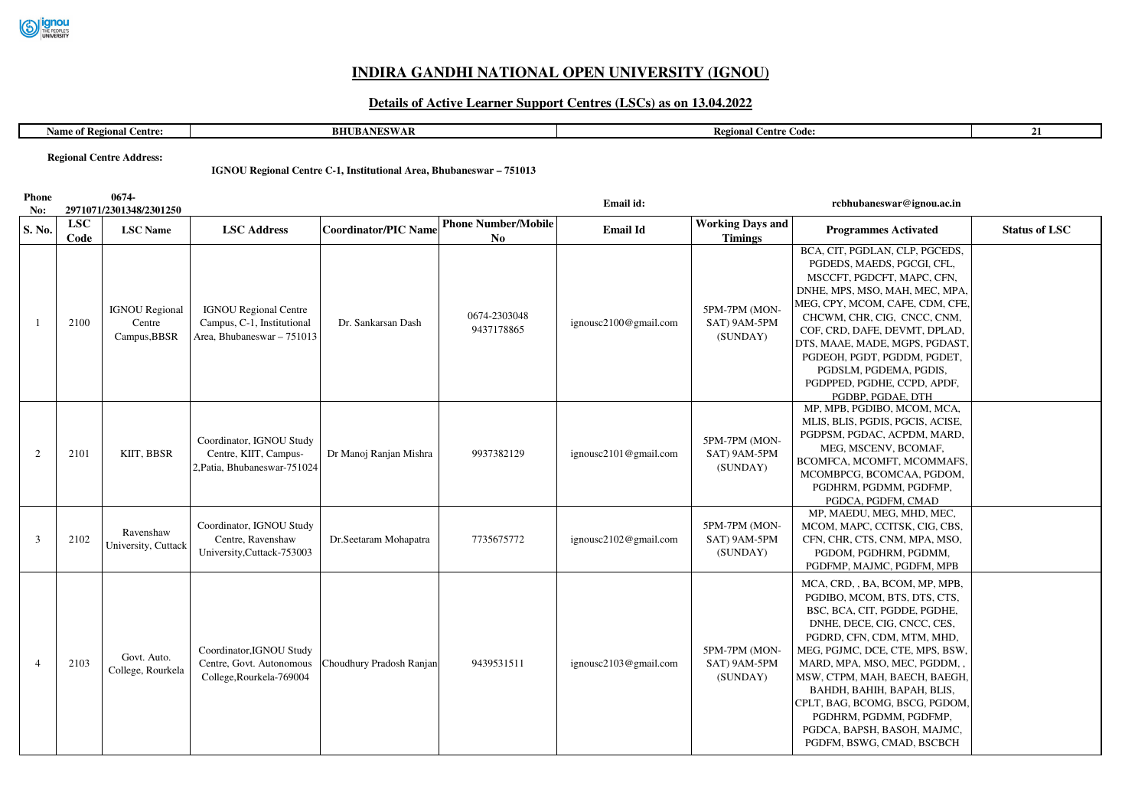

## **INDIRA GANDHI NATIONAL OPEN UNIVERSITY (IGNOU)**

## **Details of Active Learner Support Centres (LSCs) as on 13.04.2022**

| $\sim$<br>Centre<br><b>COMPANY</b><br>-к е с<br>м. | <b>BHU</b><br>A MIECALLA<br>ANLƏWAR | $\sim$<br>- Regr<br>entre Code: | - 1 |
|----------------------------------------------------|-------------------------------------|---------------------------------|-----|
|                                                    |                                     |                                 |     |

**Regional Centre Address:**

## **IGNOU Regional Centre C-1, Institutional Area, Bhubaneswar – 751013**

| <b>Phone</b><br>No: |                    | 0674-<br>2971071/2301348/2301250                |                                                                                          |                             |                                  | Email id:             |                                           | rcbhubaneswar@ignou.ac.in                                                                                                                                                                                                                                                                                                                                                                                             |                      |
|---------------------|--------------------|-------------------------------------------------|------------------------------------------------------------------------------------------|-----------------------------|----------------------------------|-----------------------|-------------------------------------------|-----------------------------------------------------------------------------------------------------------------------------------------------------------------------------------------------------------------------------------------------------------------------------------------------------------------------------------------------------------------------------------------------------------------------|----------------------|
| S. No.              | <b>LSC</b><br>Code | <b>LSC</b> Name                                 | <b>LSC Address</b>                                                                       | <b>Coordinator/PIC Name</b> | <b>Phone Number/Mobile</b><br>No | <b>Email Id</b>       | <b>Working Days and</b><br><b>Timings</b> | <b>Programmes Activated</b>                                                                                                                                                                                                                                                                                                                                                                                           | <b>Status of LSC</b> |
| $\mathbf{1}$        | 2100               | <b>IGNOU</b> Regional<br>Centre<br>Campus, BBSR | <b>IGNOU Regional Centre</b><br>Campus, C-1, Institutional<br>Area, Bhubaneswar - 751013 | Dr. Sankarsan Dash          | 0674-2303048<br>9437178865       | ignousc2100@gmail.com | 5PM-7PM (MON-<br>SAT) 9AM-5PM<br>(SUNDAY) | BCA, CIT, PGDLAN, CLP, PGCEDS,<br>PGDEDS, MAEDS, PGCGI, CFL,<br>MSCCFT, PGDCFT, MAPC, CFN,<br>DNHE, MPS, MSO, MAH, MEC, MPA,<br>MEG, CPY, MCOM, CAFE, CDM, CFE,<br>CHCWM, CHR, CIG, CNCC, CNM,<br>COF, CRD, DAFE, DEVMT, DPLAD,<br>DTS, MAAE, MADE, MGPS, PGDAST,<br>PGDEOH, PGDT, PGDDM, PGDET,<br>PGDSLM, PGDEMA, PGDIS,<br>PGDPPED, PGDHE, CCPD, APDF,<br>PGDBP, PGDAE, DTH                                        |                      |
| 2                   | 2101               | KIIT, BBSR                                      | Coordinator, IGNOU Study<br>Centre, KIIT, Campus-<br>2, Patia, Bhubaneswar-751024        | Dr Manoj Ranjan Mishra      | 9937382129                       | ignousc2101@gmail.com | 5PM-7PM (MON-<br>SAT) 9AM-5PM<br>(SUNDAY) | MP, MPB, PGDIBO, MCOM, MCA,<br>MLIS, BLIS, PGDIS, PGCIS, ACISE,<br>PGDPSM, PGDAC, ACPDM, MARD,<br>MEG, MSCENV, BCOMAF,<br>BCOMFCA, MCOMFT, MCOMMAFS,<br>MCOMBPCG, BCOMCAA, PGDOM,<br>PGDHRM, PGDMM, PGDFMP,<br>PGDCA, PGDFM, CMAD                                                                                                                                                                                     |                      |
| 3                   | 2102               | Ravenshaw<br>University, Cuttack                | Coordinator, IGNOU Study<br>Centre, Ravenshaw<br>University, Cuttack-753003              | Dr.Seetaram Mohapatra       | 7735675772                       | ignousc2102@gmail.com | 5PM-7PM (MON-<br>SAT) 9AM-5PM<br>(SUNDAY) | MP, MAEDU, MEG, MHD, MEC,<br>MCOM, MAPC, CCITSK, CIG, CBS,<br>CFN, CHR, CTS, CNM, MPA, MSO,<br>PGDOM, PGDHRM, PGDMM,<br>PGDFMP, MAJMC, PGDFM, MPB                                                                                                                                                                                                                                                                     |                      |
| $\overline{4}$      | 2103               | Govt. Auto.<br>College, Rourkela                | Coordinator, IGNOU Study<br>Centre, Govt. Autonomous<br>College, Rourkela-769004         | Choudhury Pradosh Ranjan    | 9439531511                       | ignousc2103@gmail.com | 5PM-7PM (MON-<br>SAT) 9AM-5PM<br>(SUNDAY) | MCA, CRD, , BA, BCOM, MP, MPB,<br>PGDIBO, MCOM, BTS, DTS, CTS,<br>BSC, BCA, CIT, PGDDE, PGDHE,<br>DNHE, DECE, CIG, CNCC, CES,<br>PGDRD, CFN, CDM, MTM, MHD,<br>MEG, PGJMC, DCE, CTE, MPS, BSW,<br>MARD, MPA, MSO, MEC, PGDDM,,<br>MSW, CTPM, MAH, BAECH, BAEGH,<br>BAHDH, BAHIH, BAPAH, BLIS,<br>CPLT, BAG, BCOMG, BSCG, PGDOM,<br>PGDHRM, PGDMM, PGDFMP,<br>PGDCA, BAPSH, BASOH, MAJMC,<br>PGDFM, BSWG, CMAD, BSCBCH |                      |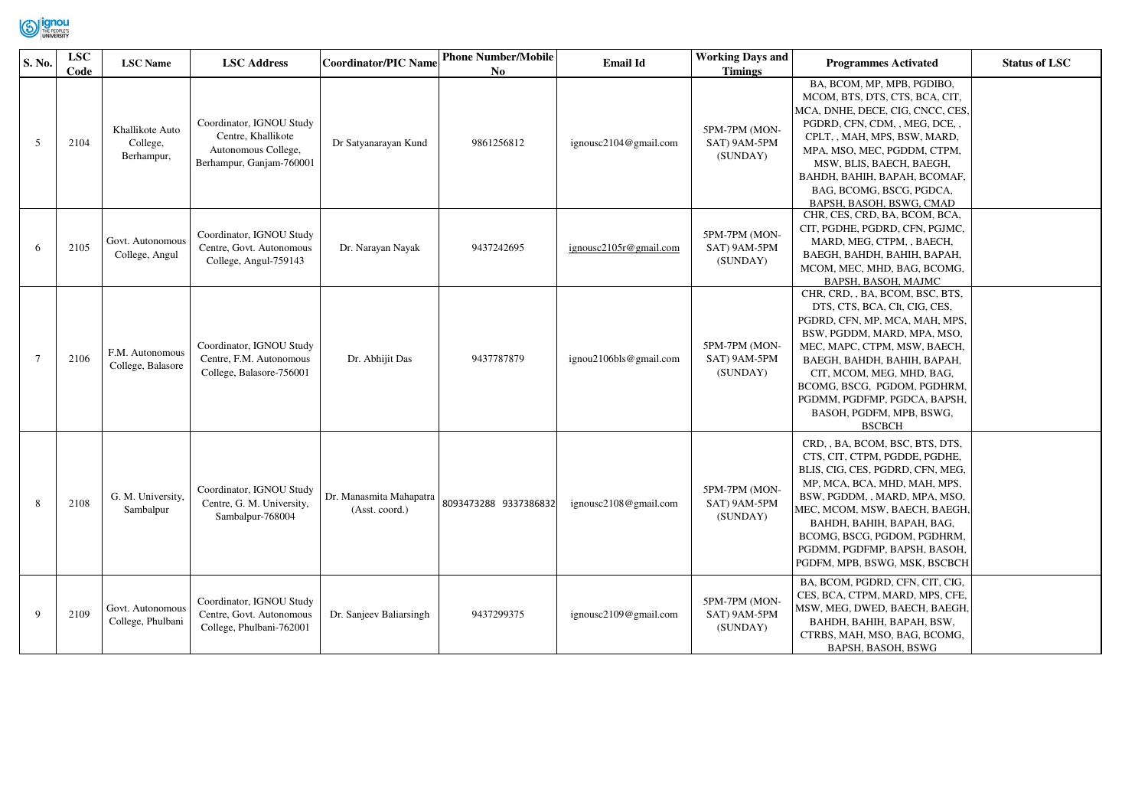

| S. No.         | <b>LSC</b><br>Code | <b>LSC</b> Name                           | <b>LSC Address</b>                                                                                | Coordinator/PIC Name                      | <b>Phone Number/Mobile</b><br>No | <b>Email Id</b>        | <b>Working Days and</b><br><b>Timings</b> | <b>Programmes Activated</b>                                                                                                                                                                                                                                                                                                               | <b>Status of LSC</b> |
|----------------|--------------------|-------------------------------------------|---------------------------------------------------------------------------------------------------|-------------------------------------------|----------------------------------|------------------------|-------------------------------------------|-------------------------------------------------------------------------------------------------------------------------------------------------------------------------------------------------------------------------------------------------------------------------------------------------------------------------------------------|----------------------|
| 5              | 2104               | Khallikote Auto<br>College,<br>Berhampur, | Coordinator, IGNOU Study<br>Centre, Khallikote<br>Autonomous College,<br>Berhampur, Ganjam-760001 | Dr Satyanarayan Kund                      | 9861256812                       | ignousc2104@gmail.com  | 5PM-7PM (MON-<br>SAT) 9AM-5PM<br>(SUNDAY) | BA, BCOM, MP, MPB, PGDIBO,<br>MCOM, BTS, DTS, CTS, BCA, CIT,<br>MCA, DNHE, DECE, CIG, CNCC, CES,<br>PGDRD, CFN, CDM, , MEG, DCE, ,<br>CPLT, , MAH, MPS, BSW, MARD,<br>MPA, MSO, MEC, PGDDM, CTPM,<br>MSW, BLIS, BAECH, BAEGH,<br>ВАНDН, ВАНІН, ВАРАН, ВСОМАҒ,<br>BAG, BCOMG, BSCG, PGDCA,<br>BAPSH, BASOH, BSWG, CMAD                     |                      |
| 6              | 2105               | Govt. Autonomous<br>College, Angul        | Coordinator, IGNOU Study<br>Centre, Govt. Autonomous<br>College, Angul-759143                     | Dr. Narayan Nayak                         | 9437242695                       | ignousc2105r@gmail.com | 5PM-7PM (MON-<br>SAT) 9AM-5PM<br>(SUNDAY) | CHR, CES, CRD, BA, BCOM, BCA,<br>CIT, PGDHE, PGDRD, CFN, PGJMC,<br>MARD, MEG, CTPM, , BAECH,<br>BAEGH, BAHDH, BAHIH, BAPAH,<br>MCOM, MEC, MHD, BAG, BCOMG,<br>BAPSH, BASOH, MAJMC                                                                                                                                                         |                      |
| $\overline{7}$ | 2106               | F.M. Autonomous<br>College, Balasore      | Coordinator, IGNOU Study<br>Centre, F.M. Autonomous<br>College, Balasore-756001                   | Dr. Abhijit Das                           | 9437787879                       | ignou2106bls@gmail.com | 5PM-7PM (MON-<br>SAT) 9AM-5PM<br>(SUNDAY) | CHR, CRD, , BA, BCOM, BSC, BTS,<br>DTS, CTS, BCA, CIt, CIG, CES,<br>PGDRD, CFN, MP, MCA, MAH, MPS,<br>BSW, PGDDM, MARD, MPA, MSO,<br>MEC, MAPC, CTPM, MSW, BAECH,<br>BAEGH, BAHDH, BAHIH, BAPAH,<br>CIT, MCOM, MEG, MHD, BAG,<br>BCOMG, BSCG, PGDOM, PGDHRM,<br>PGDMM, PGDFMP, PGDCA, BAPSH,<br>BASOH, PGDFM, MPB, BSWG,<br><b>BSCBCH</b> |                      |
| -8             | 2108               | G. M. University,<br>Sambalpur            | Coordinator, IGNOU Study<br>Centre, G. M. University,<br>Sambalpur-768004                         | Dr. Manasmita Mahapatra<br>(Asst. coord.) | 8093473288 9337386832            | ignousc2108@gmail.com  | 5PM-7PM (MON-<br>SAT) 9AM-5PM<br>(SUNDAY) | CRD, , BA, BCOM, BSC, BTS, DTS,<br>CTS, CIT, CTPM, PGDDE, PGDHE,<br>BLIS, CIG, CES, PGDRD, CFN, MEG,<br>MP, MCA, BCA, MHD, MAH, MPS,<br>BSW, PGDDM, , MARD, MPA, MSO,<br>MEC, MCOM, MSW, BAECH, BAEGH,<br>BAHDH, BAHIH, BAPAH, BAG,<br>BCOMG, BSCG, PGDOM, PGDHRM,<br>PGDMM, PGDFMP, BAPSH, BASOH,<br>PGDFM, MPB, BSWG, MSK, BSCBCH       |                      |
| $\mathbf Q$    | 2109               | Govt. Autonomous<br>College, Phulbani     | Coordinator, IGNOU Study<br>Centre, Govt. Autonomous<br>College, Phulbani-762001                  | Dr. Sanjeev Baliarsingh                   | 9437299375                       | ignousc2109@gmail.com  | 5PM-7PM (MON-<br>SAT) 9AM-5PM<br>(SUNDAY) | BA, BCOM, PGDRD, CFN, CIT, CIG,<br>CES, BCA, CTPM, MARD, MPS, CFE,<br>MSW, MEG, DWED, BAECH, BAEGH,<br>BAHDH, BAHIH, BAPAH, BSW,<br>CTRBS, MAH, MSO, BAG, BCOMG,<br>BAPSH, BASOH, BSWG                                                                                                                                                    |                      |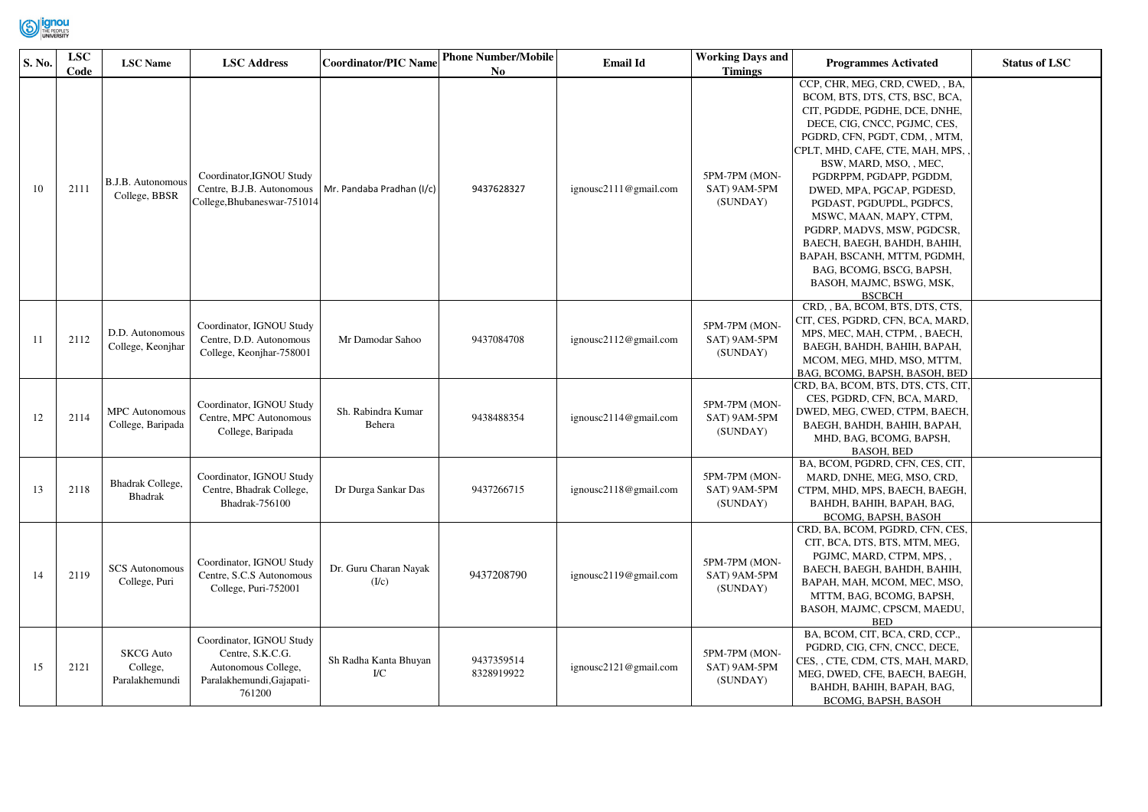

| S. No. | <b>LSC</b><br>Code | <b>LSC</b> Name                                | <b>LSC Address</b>                                                                                         | <b>Coordinator/PIC Name</b>    | <b>Phone Number/Mobile</b><br>N <sub>0</sub> | <b>Email Id</b>       | <b>Working Days and</b><br><b>Timings</b> | <b>Programmes Activated</b>                                                                                                                                                                                                                                                                                                                                                                                                                                                                                          | <b>Status of LSC</b> |
|--------|--------------------|------------------------------------------------|------------------------------------------------------------------------------------------------------------|--------------------------------|----------------------------------------------|-----------------------|-------------------------------------------|----------------------------------------------------------------------------------------------------------------------------------------------------------------------------------------------------------------------------------------------------------------------------------------------------------------------------------------------------------------------------------------------------------------------------------------------------------------------------------------------------------------------|----------------------|
| 10     | 2111               | <b>B.J.B.</b> Autonomous<br>College, BBSR      | Coordinator, IGNOU Study<br>Centre, B.J.B. Autonomous<br>College, Bhubaneswar-751014                       | Mr. Pandaba Pradhan (I/c)      | 9437628327                                   | ignousc2111@gmail.com | 5PM-7PM (MON-<br>SAT) 9AM-5PM<br>(SUNDAY) | CCP, CHR, MEG, CRD, CWED, , BA,<br>BCOM, BTS, DTS, CTS, BSC, BCA,<br>CIT, PGDDE, PGDHE, DCE, DNHE,<br>DECE, CIG, CNCC, PGJMC, CES,<br>PGDRD, CFN, PGDT, CDM, , MTM,<br>CPLT, MHD, CAFE, CTE, MAH, MPS,<br>BSW, MARD, MSO, , MEC,<br>PGDRPPM, PGDAPP, PGDDM,<br>DWED, MPA, PGCAP, PGDESD,<br>PGDAST, PGDUPDL, PGDFCS,<br>MSWC, MAAN, MAPY, CTPM,<br>PGDRP, MADVS, MSW, PGDCSR,<br>BAECH, BAEGH, BAHDH, BAHIH,<br>BAPAH, BSCANH, MTTM, PGDMH,<br>BAG, BCOMG, BSCG, BAPSH,<br>BASOH, MAJMC, BSWG, MSK,<br><b>BSCBCH</b> |                      |
| 11     | 2112               | D.D. Autonomous<br>College, Keonjhar           | Coordinator, IGNOU Study<br>Centre, D.D. Autonomous<br>College, Keonjhar-758001                            | Mr Damodar Sahoo               | 9437084708                                   | ignousc2112@gmail.com | 5PM-7PM (MON-<br>SAT) 9AM-5PM<br>(SUNDAY) | CRD, , BA, BCOM, BTS, DTS, CTS,<br>CIT, CES, PGDRD, CFN, BCA, MARD,<br>MPS, MEC, MAH, CTPM, , BAECH,<br>BAEGH, BAHDH, BAHIH, BAPAH,<br>MCOM, MEG, MHD, MSO, MTTM,<br>BAG, BCOMG, BAPSH, BASOH, BED                                                                                                                                                                                                                                                                                                                   |                      |
| 12     | 2114               | <b>MPC</b> Autonomous<br>College, Baripada     | Coordinator, IGNOU Study<br>Centre, MPC Autonomous<br>College, Baripada                                    | Sh. Rabindra Kumar<br>Behera   | 9438488354                                   | ignousc2114@gmail.com | 5PM-7PM (MON-<br>SAT) 9AM-5PM<br>(SUNDAY) | CRD, BA, BCOM, BTS, DTS, CTS, CIT,<br>CES, PGDRD, CFN, BCA, MARD,<br>DWED, MEG, CWED, CTPM, BAECH,<br>ВАЕСН, ВАНDН, ВАНІН, ВАРАН,<br>MHD, BAG, BCOMG, BAPSH,<br><b>BASOH, BED</b>                                                                                                                                                                                                                                                                                                                                    |                      |
| 13     | 2118               | Bhadrak College,<br>Bhadrak                    | Coordinator, IGNOU Study<br>Centre, Bhadrak College,<br><b>Bhadrak-756100</b>                              | Dr Durga Sankar Das            | 9437266715                                   | ignousc2118@gmail.com | 5PM-7PM (MON-<br>SAT) 9AM-5PM<br>(SUNDAY) | BA, BCOM, PGDRD, CFN, CES, CIT,<br>MARD, DNHE, MEG, MSO, CRD,<br>CTPM, MHD, MPS, BAECH, BAEGH,<br>BAHDH, BAHIH, BAPAH, BAG,<br>BCOMG, BAPSH, BASOH                                                                                                                                                                                                                                                                                                                                                                   |                      |
| 14     | 2119               | <b>SCS Autonomous</b><br>College, Puri         | Coordinator, IGNOU Study<br>Centre, S.C.S Autonomous<br>College, Puri-752001                               | Dr. Guru Charan Nayak<br>(I/c) | 9437208790                                   | ignousc2119@gmail.com | 5PM-7PM (MON-<br>SAT) 9AM-5PM<br>(SUNDAY) | CRD, BA, BCOM, PGDRD, CFN, CES,<br>CIT, BCA, DTS, BTS, MTM, MEG,<br>PGJMC, MARD, CTPM, MPS,,<br>ВАЕСН, ВАЕСН, ВАНDН, ВАНІН,<br>BAPAH, MAH, MCOM, MEC, MSO,<br>MTTM, BAG, BCOMG, BAPSH,<br>BASOH, MAJMC, CPSCM, MAEDU,<br><b>BED</b>                                                                                                                                                                                                                                                                                  |                      |
| 15     | 2121               | <b>SKCG</b> Auto<br>College,<br>Paralakhemundi | Coordinator, IGNOU Study<br>Centre, S.K.C.G.<br>Autonomous College,<br>Paralakhemundi, Gajapati-<br>761200 | Sh Radha Kanta Bhuyan<br>I/C   | 9437359514<br>8328919922                     | ignousc2121@gmail.com | 5PM-7PM (MON-<br>SAT) 9AM-5PM<br>(SUNDAY) | BA, BCOM, CIT, BCA, CRD, CCP.,<br>PGDRD, CIG, CFN, CNCC, DECE,<br>CES, , CTE, CDM, CTS, MAH, MARD,<br>MEG, DWED, CFE, BAECH, BAEGH,<br>BAHDH, BAHIH, BAPAH, BAG,<br>BCOMG, BAPSH, BASOH                                                                                                                                                                                                                                                                                                                              |                      |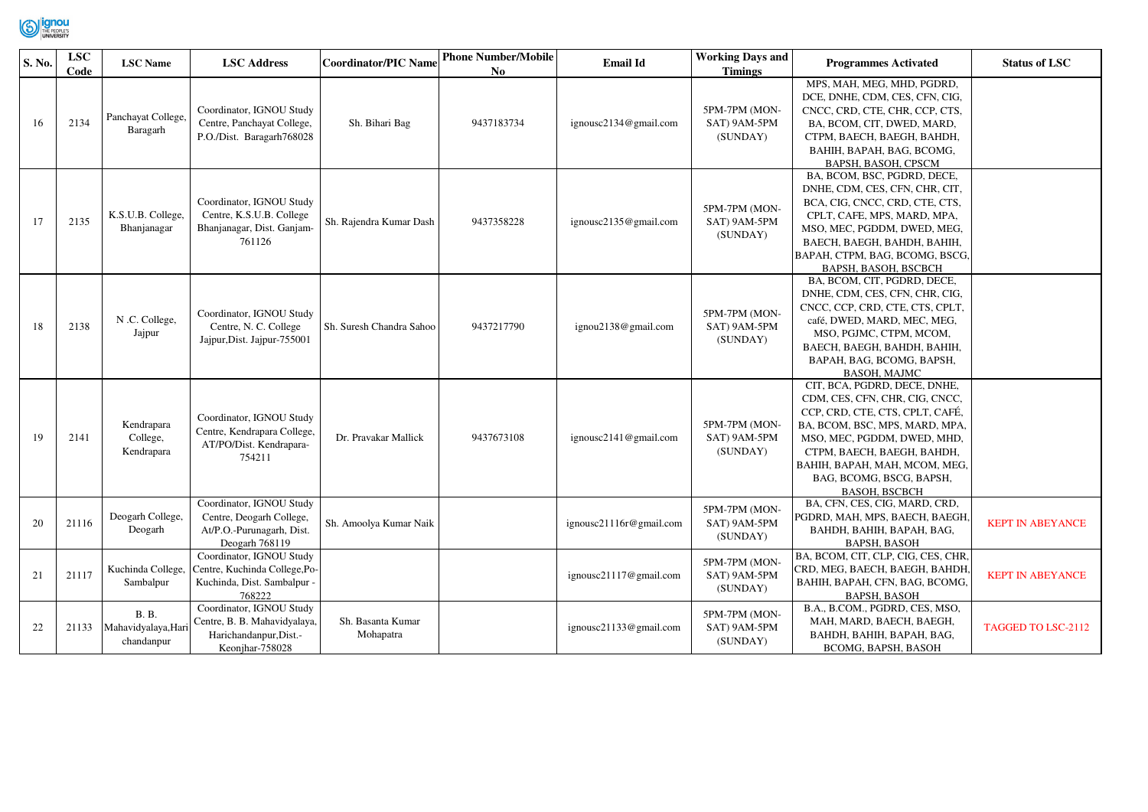

| S. No. | <b>LSC</b><br>Code | <b>LSC</b> Name                                   | <b>LSC Address</b>                                                                                    | <b>Coordinator/PIC Name</b>    | <b>Phone Number/Mobile</b><br>No | <b>Email Id</b>         | <b>Working Days and</b><br><b>Timings</b> | <b>Programmes Activated</b>                                                                                                                                                                                                                                                           | <b>Status of LSC</b>    |
|--------|--------------------|---------------------------------------------------|-------------------------------------------------------------------------------------------------------|--------------------------------|----------------------------------|-------------------------|-------------------------------------------|---------------------------------------------------------------------------------------------------------------------------------------------------------------------------------------------------------------------------------------------------------------------------------------|-------------------------|
| 16     | 2134               | Panchayat College,<br>Baragarh                    | Coordinator, IGNOU Study<br>Centre, Panchayat College,<br>P.O./Dist. Baragarh768028                   | Sh. Bihari Bag                 | 9437183734                       | ignousc2134@gmail.com   | 5PM-7PM (MON-<br>SAT) 9AM-5PM<br>(SUNDAY) | MPS, MAH, MEG, MHD, PGDRD,<br>DCE, DNHE, CDM, CES, CFN, CIG,<br>CNCC, CRD, CTE, CHR, CCP, CTS,<br>BA, BCOM, CIT, DWED, MARD,<br>CTPM, BAECH, BAEGH, BAHDH,<br>BAHIH, BAPAH, BAG, BCOMG,<br>BAPSH, BASOH, CPSCM                                                                        |                         |
| 17     | 2135               | K.S.U.B. College,<br>Bhanjanagar                  | Coordinator, IGNOU Study<br>Centre, K.S.U.B. College<br>Bhanjanagar, Dist. Ganjam-<br>761126          | Sh. Rajendra Kumar Dash        | 9437358228                       | ignousc2135@gmail.com   | 5PM-7PM (MON-<br>SAT) 9AM-5PM<br>(SUNDAY) | BA, BCOM, BSC, PGDRD, DECE,<br>DNHE, CDM, CES, CFN, CHR, CIT,<br>BCA, CIG, CNCC, CRD, CTE, CTS,<br>CPLT, CAFE, MPS, MARD, MPA,<br>MSO, MEC, PGDDM, DWED, MEG,<br>ВАЕСН, ВАЕСН, ВАНDН, ВАНІН,<br>BAPAH, CTPM, BAG, BCOMG, BSCG,<br>BAPSH, BASOH, BSCBCH                                |                         |
| 18     | 2138               | N .C. College,<br>Jajpur                          | Coordinator, IGNOU Study<br>Centre, N. C. College<br>Jajpur, Dist. Jajpur-755001                      | Sh. Suresh Chandra Sahoo       | 9437217790                       | ignou2138@gmail.com     | 5PM-7PM (MON-<br>SAT) 9AM-5PM<br>(SUNDAY) | BA, BCOM, CIT, PGDRD, DECE,<br>DNHE, CDM, CES, CFN, CHR, CIG,<br>CNCC, CCP, CRD, CTE, CTS, CPLT,<br>café, DWED, MARD, MEC, MEG,<br>MSO, PGJMC, CTPM, MCOM,<br>BAECH, BAEGH, BAHDH, BAHIH,<br>BAPAH, BAG, BCOMG, BAPSH,<br><b>BASOH, MAJMC</b>                                         |                         |
| 19     | 2141               | Kendrapara<br>College,<br>Kendrapara              | Coordinator, IGNOU Study<br>Centre, Kendrapara College,<br>AT/PO/Dist. Kendrapara-<br>754211          | Dr. Pravakar Mallick           | 9437673108                       | ignousc2141@gmail.com   | 5PM-7PM (MON-<br>SAT) 9AM-5PM<br>(SUNDAY) | CIT, BCA, PGDRD, DECE, DNHE,<br>CDM, CES, CFN, CHR, CIG, CNCC,<br>CCP, CRD, CTE, CTS, CPLT, CAFÉ,<br>BA, BCOM, BSC, MPS, MARD, MPA,<br>MSO, MEC, PGDDM, DWED, MHD,<br>CTPM, BAECH, BAEGH, BAHDH,<br>BAHIH, BAPAH, MAH, MCOM, MEG,<br>BAG, BCOMG, BSCG, BAPSH,<br><b>BASOH, BSCBCH</b> |                         |
| 20     | 21116              | Deogarh College,<br>Deogarh                       | Coordinator, IGNOU Study<br>Centre, Deogarh College,<br>At/P.O.-Purunagarh, Dist.<br>Deogarh 768119   | Sh. Amoolya Kumar Naik         |                                  | ignousc21116r@gmail.com | 5PM-7PM (MON-<br>SAT) 9AM-5PM<br>(SUNDAY) | BA, CFN, CES, CIG, MARD, CRD,<br>PGDRD, MAH, MPS, BAECH, BAEGH.<br>BAHDH, BAHIH, BAPAH, BAG,<br><b>BAPSH, BASOH</b>                                                                                                                                                                   | <b>KEPT IN ABEYANCE</b> |
| 21     | 21117              | Kuchinda College,<br>Sambalpur                    | Coordinator, IGNOU Study<br>Centre, Kuchinda College, Po-<br>Kuchinda, Dist. Sambalpur -<br>768222    |                                |                                  | ignousc21117@gmail.com  | 5PM-7PM (MON-<br>SAT) 9AM-5PM<br>(SUNDAY) | BA, BCOM, CIT, CLP, CIG, CES, CHR.<br>CRD, MEG, BAECH, BAEGH, BAHDH<br>BAHIH, BAPAH, CFN, BAG, BCOMG,<br><b>BAPSH, BASOH</b>                                                                                                                                                          | <b>KEPT IN ABEYANCE</b> |
| 22     | 21133              | <b>B.</b> B.<br>Mahavidyalaya, Hari<br>chandanpur | Coordinator, IGNOU Study<br>Centre, B. B. Mahavidyalaya,<br>Harichandanpur, Dist.-<br>Keonjhar-758028 | Sh. Basanta Kumar<br>Mohapatra |                                  | ignousc21133@gmail.com  | 5PM-7PM (MON-<br>SAT) 9AM-5PM<br>(SUNDAY) | B.A., B.COM., PGDRD, CES, MSO,<br>MAH, MARD, BAECH, BAEGH,<br>BAHDH, BAHIH, BAPAH, BAG,<br>BCOMG, BAPSH, BASOH                                                                                                                                                                        | TAGGED TO LSC-2112      |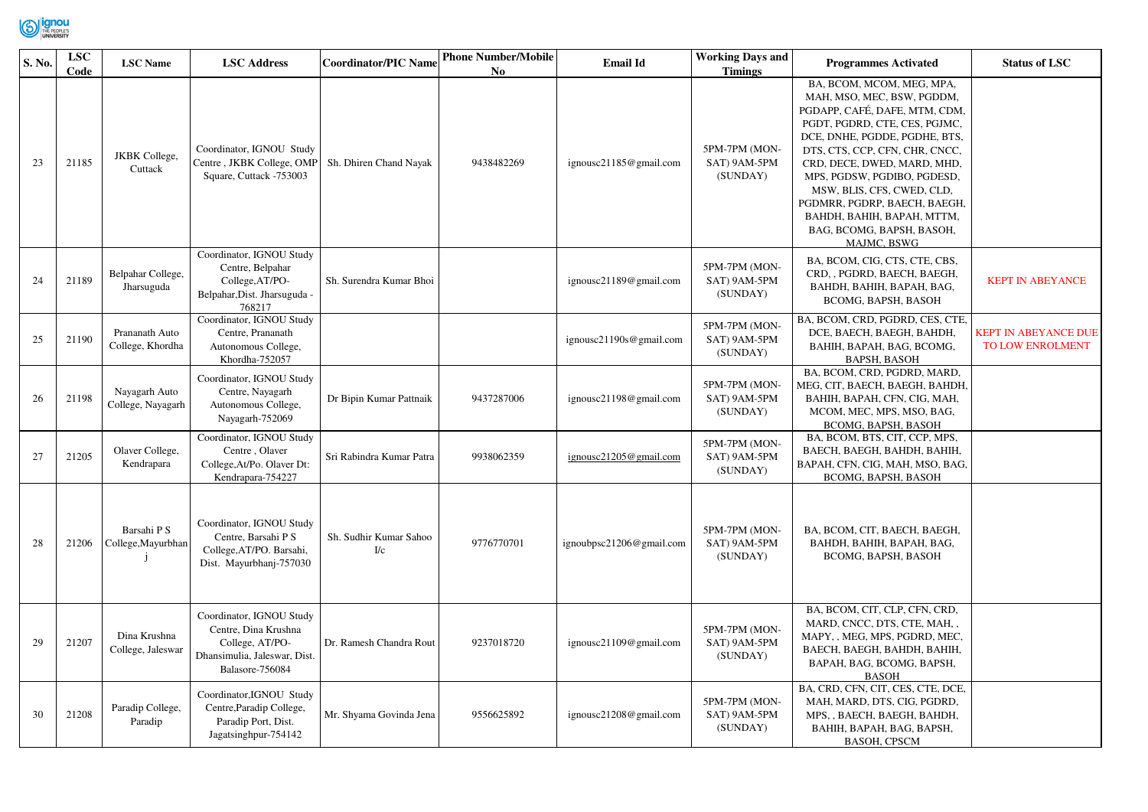

| S. No. | ${\bf LSC}$<br>Code | <b>LSC</b> Name                    | <b>LSC</b> Address                                                                                                     | <b>Coordinator/PIC Name</b>   | <b>Phone Number/Mobile</b><br>N <sub>0</sub> | <b>Email Id</b>          | <b>Working Days and</b><br><b>Timings</b> | <b>Programmes Activated</b>                                                                                                                                                                                                                                                                                                                                                                        | <b>Status of LSC</b>                     |
|--------|---------------------|------------------------------------|------------------------------------------------------------------------------------------------------------------------|-------------------------------|----------------------------------------------|--------------------------|-------------------------------------------|----------------------------------------------------------------------------------------------------------------------------------------------------------------------------------------------------------------------------------------------------------------------------------------------------------------------------------------------------------------------------------------------------|------------------------------------------|
| 23     | 21185               | <b>JKBK</b> College,<br>Cuttack    | Coordinator, IGNOU Study<br>Centre, JKBK College, OMP<br>Square, Cuttack -753003                                       | Sh. Dhiren Chand Nayak        | 9438482269                                   | ignousc21185@gmail.com   | 5PM-7PM (MON-<br>SAT) 9AM-5PM<br>(SUNDAY) | BA, BCOM, MCOM, MEG, MPA,<br>MAH, MSO, MEC, BSW, PGDDM,<br>PGDAPP, CAFÉ, DAFE, MTM, CDM,<br>PGDT, PGDRD, CTE, CES, PGJMC,<br>DCE, DNHE, PGDDE, PGDHE, BTS,<br>DTS, CTS, CCP, CFN, CHR, CNCC,<br>CRD, DECE, DWED, MARD, MHD,<br>MPS, PGDSW, PGDIBO, PGDESD,<br>MSW, BLIS, CFS, CWED, CLD,<br>PGDMRR, PGDRP, BAECH, BAEGH,<br>BAHDH, BAHIH, BAPAH, MTTM,<br>BAG, BCOMG, BAPSH, BASOH,<br>MAJMC, BSWG |                                          |
| 24     | 21189               | Belpahar College,<br>Jharsuguda    | Coordinator, IGNOU Study<br>Centre, Belpahar<br>College, AT/PO-<br>Belpahar, Dist. Jharsuguda -<br>768217              | Sh. Surendra Kumar Bhoi       |                                              | ignousc21189@gmail.com   | 5PM-7PM (MON-<br>SAT) 9AM-5PM<br>(SUNDAY) | BA, BCOM, CIG, CTS, CTE, CBS,<br>CRD, , PGDRD, BAECH, BAEGH,<br>BAHDH, BAHIH, BAPAH, BAG,<br>BCOMG, BAPSH, BASOH                                                                                                                                                                                                                                                                                   | <b>KEPT IN ABEYANCE</b>                  |
| 25     | 21190               | Prananath Auto<br>College, Khordha | Coordinator, IGNOU Study<br>Centre, Prananath<br>Autonomous College,<br>Khordha-752057                                 |                               |                                              | ignousc21190s@gmail.com  | 5PM-7PM (MON-<br>SAT) 9AM-5PM<br>(SUNDAY) | BA, BCOM, CRD, PGDRD, CES, CTE,<br>DCE, BAECH, BAEGH, BAHDH,<br>BAHIH, BAPAH, BAG, BCOMG,<br><b>BAPSH, BASOH</b>                                                                                                                                                                                                                                                                                   | KEPT IN ABEYANCE DUE<br>TO LOW ENROLMENT |
| 26     | 21198               | Nayagarh Auto<br>College, Nayagarh | Coordinator, IGNOU Study<br>Centre, Nayagarh<br>Autonomous College,<br>Nayagarh-752069                                 | Dr Bipin Kumar Pattnaik       | 9437287006                                   | ignousc21198@gmail.com   | 5PM-7PM (MON-<br>SAT) 9AM-5PM<br>(SUNDAY) | BA, BCOM, CRD, PGDRD, MARD,<br>MEG, CIT, BAECH, BAEGH, BAHDH,<br>BAHIH, BAPAH, CFN, CIG, MAH,<br>MCOM, MEC, MPS, MSO, BAG,<br>BCOMG, BAPSH, BASOH                                                                                                                                                                                                                                                  |                                          |
| 27     | 21205               | Olaver College,<br>Kendrapara      | Coordinator, IGNOU Study<br>Centre, Olaver<br>College, At/Po. Olaver Dt:<br>Kendrapara-754227                          | Sri Rabindra Kumar Patra      | 9938062359                                   | ignousc21205@gmail.com   | 5PM-7PM (MON-<br>SAT) 9AM-5PM<br>(SUNDAY) | BA, BCOM, BTS, CIT, CCP, MPS,<br>ВАЕСН, ВАЕСН, ВАНDН, ВАНІН,<br>BAPAH, CFN, CIG, MAH, MSO, BAG,<br>BCOMG, BAPSH, BASOH                                                                                                                                                                                                                                                                             |                                          |
| 28     | 21206               | Barsahi P S<br>College, Mayurbhan  | Coordinator, IGNOU Study<br>Centre, Barsahi P S<br>College, AT/PO. Barsahi,<br>Dist. Mayurbhanj-757030                 | Sh. Sudhir Kumar Sahoo<br>I/c | 9776770701                                   | ignoubpsc21206@gmail.com | 5PM-7PM (MON-<br>SAT) 9AM-5PM<br>(SUNDAY) | BA, BCOM, CIT, BAECH, BAEGH,<br>BAHDH, BAHIH, BAPAH, BAG,<br>BCOMG, BAPSH, BASOH                                                                                                                                                                                                                                                                                                                   |                                          |
| 29     | 21207               | Dina Krushna<br>College, Jaleswar  | Coordinator, IGNOU Study<br>Centre, Dina Krushna<br>College, AT/PO-<br>Dhansimulia, Jaleswar, Dist.<br>Balasore-756084 | Dr. Ramesh Chandra Rout       | 9237018720                                   | ignousc21109@gmail.com   | 5PM-7PM (MON-<br>SAT) 9AM-5PM<br>(SUNDAY) | BA, BCOM, CIT, CLP, CFN, CRD,<br>MARD, CNCC, DTS, CTE, MAH,,<br>MAPY, , MEG, MPS, PGDRD, MEC,<br>BAECH, BAEGH, BAHDH, BAHIH,<br>BAPAH, BAG, BCOMG, BAPSH,<br><b>BASOH</b>                                                                                                                                                                                                                          |                                          |
| 30     | 21208               | Paradip College,<br>Paradip        | Coordinator, IGNOU Study<br>Centre, Paradip College,<br>Paradip Port, Dist.<br>Jagatsinghpur-754142                    | Mr. Shyama Govinda Jena       | 9556625892                                   | ignousc21208@gmail.com   | 5PM-7PM (MON-<br>SAT) 9AM-5PM<br>(SUNDAY) | BA, CRD, CFN, CIT, CES, CTE, DCE,<br>MAH, MARD, DTS, CIG, PGDRD,<br>MPS, , BAECH, BAEGH, BAHDH,<br>BAHIH, BAPAH, BAG, BAPSH,<br><b>BASOH, CPSCM</b>                                                                                                                                                                                                                                                |                                          |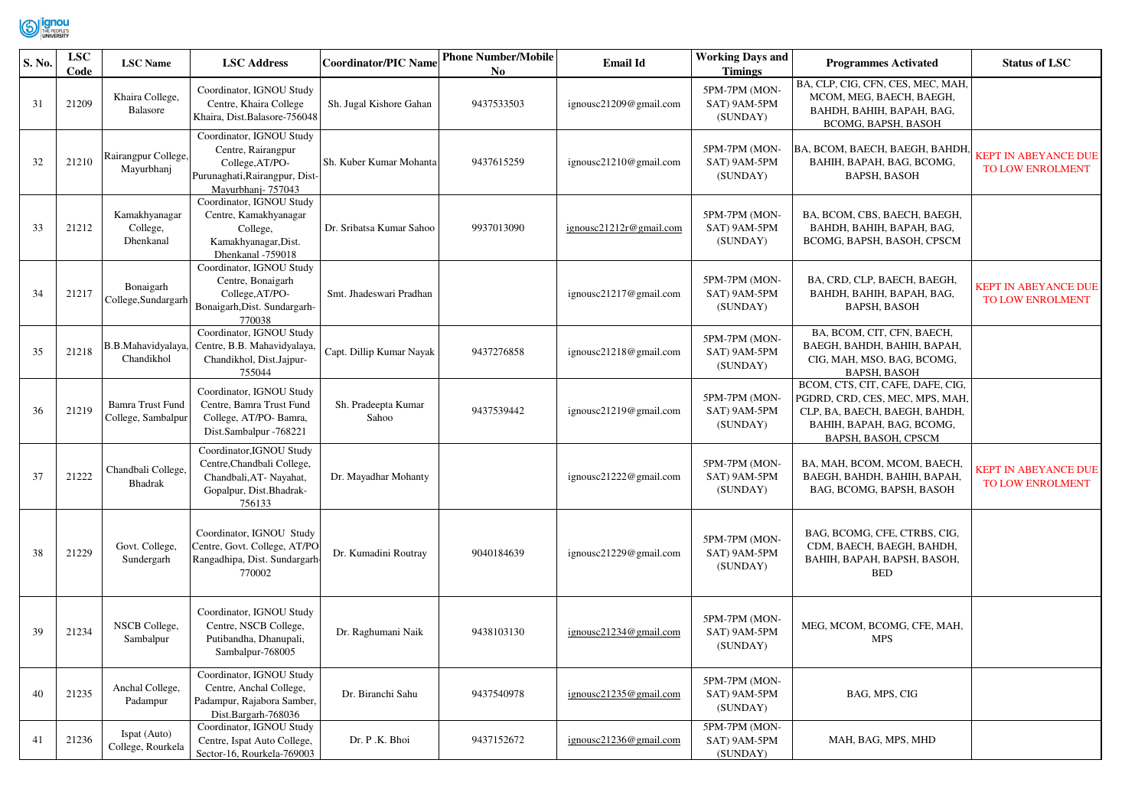

| S. No. | <b>LSC</b><br>Code | <b>LSC</b> Name                        | <b>LSC Address</b>                                                                                                       | <b>Coordinator/PIC Name</b>  | <b>Phone Number/Mobile</b><br>No. | <b>Email Id</b>         | <b>Working Days and</b><br><b>Timings</b> | <b>Programmes Activated</b>                                                                                                                              | <b>Status of LSC</b>                            |
|--------|--------------------|----------------------------------------|--------------------------------------------------------------------------------------------------------------------------|------------------------------|-----------------------------------|-------------------------|-------------------------------------------|----------------------------------------------------------------------------------------------------------------------------------------------------------|-------------------------------------------------|
| 31     | 21209              | Khaira College,<br>Balasore            | Coordinator, IGNOU Study<br>Centre, Khaira College<br>Khaira, Dist.Balasore-756048                                       | Sh. Jugal Kishore Gahan      | 9437533503                        | ignousc21209@gmail.com  | 5PM-7PM (MON-<br>SAT) 9AM-5PM<br>(SUNDAY) | BA, CLP, CIG, CFN, CES, MEC, MAH,<br>MCOM, MEG, BAECH, BAEGH,<br>BAHDH, BAHIH, BAPAH, BAG,<br>BCOMG, BAPSH, BASOH                                        |                                                 |
| 32     | 21210              | Rairangpur College,<br>Mayurbhanj      | Coordinator, IGNOU Study<br>Centre, Rairangpur<br>College, AT/PO-<br>Purunaghati, Rairangpur, Dist-<br>Mayurbhanj-757043 | Sh. Kuber Kumar Mohanta      | 9437615259                        | ignousc21210@gmail.com  | 5PM-7PM (MON-<br>SAT) 9AM-5PM<br>(SUNDAY) | BA, BCOM, BAECH, BAEGH, BAHDH,<br>BAHIH, BAPAH, BAG, BCOMG,<br><b>BAPSH, BASOH</b>                                                                       | <b>KEPT IN ABEYANCE DUE</b><br>TO LOW ENROLMENT |
| 33     | 21212              | Kamakhyanagar<br>College,<br>Dhenkanal | Coordinator, IGNOU Study<br>Centre, Kamakhyanagar<br>College,<br>Kamakhyanagar, Dist.<br>Dhenkanal -759018               | Dr. Sribatsa Kumar Sahoo     | 9937013090                        | ignousc21212r@gmail.com | 5PM-7PM (MON-<br>SAT) 9AM-5PM<br>(SUNDAY) | BA, BCOM, CBS, BAECH, BAEGH,<br>BAHDH, BAHIH, BAPAH, BAG,<br>BCOMG, BAPSH, BASOH, CPSCM                                                                  |                                                 |
| 34     | 21217              | Bonaigarh<br>College, Sundargarh       | Coordinator, IGNOU Study<br>Centre, Bonaigarh<br>College, AT/PO-<br>Bonaigarh, Dist. Sundargarh-<br>770038               | Smt. Jhadeswari Pradhan      |                                   | ignousc21217@gmail.com  | 5PM-7PM (MON-<br>SAT) 9AM-5PM<br>(SUNDAY) | BA, CRD, CLP, BAECH, BAEGH,<br>BAHDH, BAHIH, BAPAH, BAG,<br><b>BAPSH, BASOH</b>                                                                          | <b>KEPT IN ABEYANCE DUE</b><br>TO LOW ENROLMENT |
| 35     | 21218              | B.B.Mahavidyalaya,<br>Chandikhol       | Coordinator, IGNOU Study<br>Centre, B.B. Mahavidyalaya,<br>Chandikhol, Dist.Jajpur-<br>755044                            | Capt. Dillip Kumar Nayak     | 9437276858                        | ignousc21218@gmail.com  | 5PM-7PM (MON-<br>SAT) 9AM-5PM<br>(SUNDAY) | BA, BCOM, CIT, CFN, BAECH,<br>ВАЕСН, ВАНDН, ВАНІН, ВАРАН,<br>CIG, MAH, MSO, BAG, BCOMG,<br><b>BAPSH, BASOH</b>                                           |                                                 |
| 36     | 21219              | Bamra Trust Fund<br>College, Sambalpur | Coordinator, IGNOU Study<br>Centre, Bamra Trust Fund<br>College, AT/PO-Bamra,<br>Dist.Sambalpur -768221                  | Sh. Pradeepta Kumar<br>Sahoo | 9437539442                        | ignousc21219@gmail.com  | 5PM-7PM (MON-<br>SAT) 9AM-5PM<br>(SUNDAY) | BCOM, CTS, CIT, CAFE, DAFE, CIG,<br>PGDRD, CRD, CES, MEC, MPS, MAH,<br>CLP, BA, BAECH, BAEGH, BAHDH,<br>BAHIH, BAPAH, BAG, BCOMG,<br>BAPSH, BASOH, CPSCM |                                                 |
| 37     | 21222              | Chandbali College,<br>Bhadrak          | Coordinator, IGNOU Study<br>Centre, Chandbali College,<br>Chandbali, AT- Nayahat,<br>Gopalpur, Dist.Bhadrak-<br>756133   | Dr. Mayadhar Mohanty         |                                   | ignousc21222@gmail.com  | 5PM-7PM (MON-<br>SAT) 9AM-5PM<br>(SUNDAY) | BA, MAH, BCOM, MCOM, BAECH,<br>BAEGH, BAHDH, BAHIH, BAPAH,<br>BAG, BCOMG, BAPSH, BASOH                                                                   | <b>KEPT IN ABEYANCE DUE</b><br>TO LOW ENROLMENT |
| 38     | 21229              | Govt. College,<br>Sundergarh           | Coordinator, IGNOU Study<br>Centre, Govt. College, AT/PO<br>Rangadhipa, Dist. Sundargarh<br>770002                       | Dr. Kumadini Routray         | 9040184639                        | ignousc21229@gmail.com  | 5PM-7PM (MON-<br>SAT) 9AM-5PM<br>(SUNDAY) | BAG, BCOMG, CFE, CTRBS, CIG,<br>CDM, BAECH, BAEGH, BAHDH,<br>BAHIH, BAPAH, BAPSH, BASOH,<br><b>BED</b>                                                   |                                                 |
| 39     | 21234              | <b>NSCB</b> College,<br>Sambalpur      | Coordinator, IGNOU Study<br>Centre, NSCB College,<br>Putibandha, Dhanupali,<br>Sambalpur-768005                          | Dr. Raghumani Naik           | 9438103130                        | ignousc21234@gmail.com  | 5PM-7PM (MON-<br>SAT) 9AM-5PM<br>(SUNDAY) | MEG, MCOM, BCOMG, CFE, MAH,<br><b>MPS</b>                                                                                                                |                                                 |
| 40     | 21235              | Anchal College,<br>Padampur            | Coordinator, IGNOU Study<br>Centre, Anchal College,<br>Padampur, Rajabora Samber,<br>Dist.Bargarh-768036                 | Dr. Biranchi Sahu            | 9437540978                        | ignousc21235@gmail.com  | 5PM-7PM (MON-<br>SAT) 9AM-5PM<br>(SUNDAY) | BAG, MPS, CIG                                                                                                                                            |                                                 |
| 41     | 21236              | Ispat (Auto)<br>College, Rourkela      | Coordinator, IGNOU Study<br>Centre, Ispat Auto College,<br>Sector-16, Rourkela-769003                                    | Dr. P.K. Bhoi                | 9437152672                        | ignousc21236@gmail.com  | 5PM-7PM (MON-<br>SAT) 9AM-5PM<br>(SUNDAY) | MAH, BAG, MPS, MHD                                                                                                                                       |                                                 |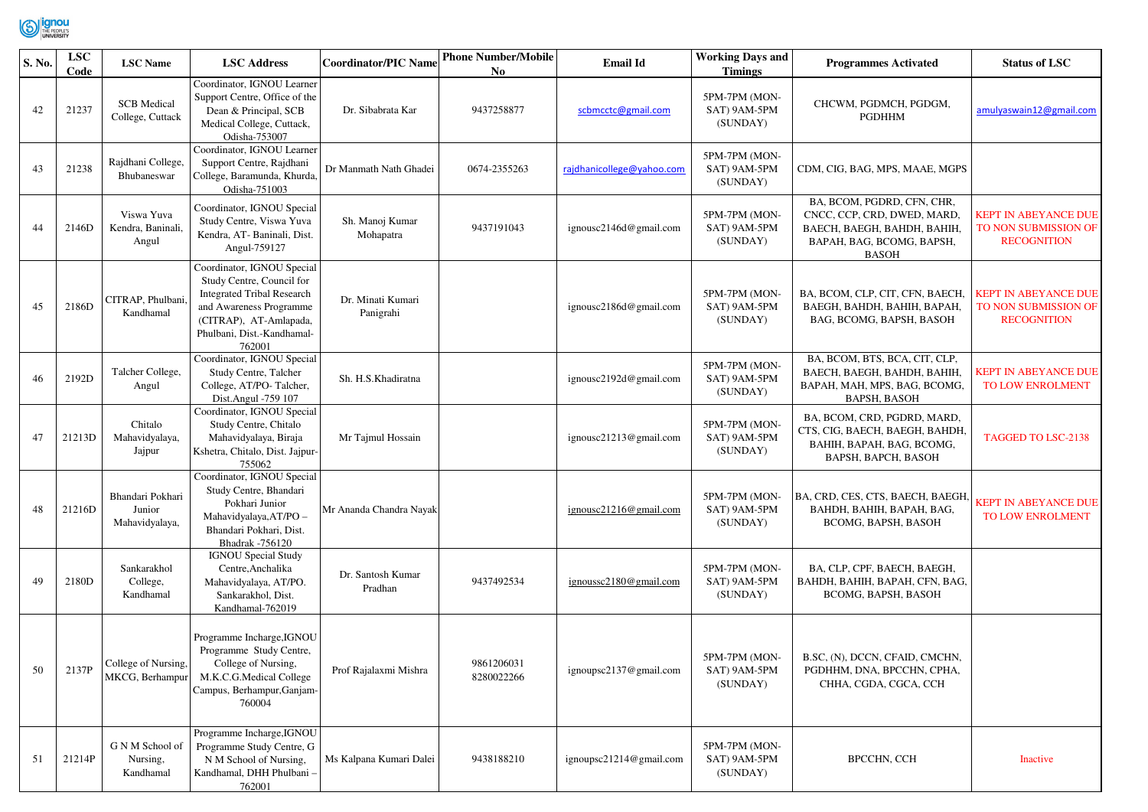

| S. No. | <b>LSC</b><br>Code | <b>LSC</b> Name                              | <b>LSC Address</b>                                                                                                                                                                        | <b>Coordinator/PIC Name</b>    | <b>Phone Number/Mobile</b><br>No. | <b>Email Id</b>           | <b>Working Days and</b><br><b>Timings</b> | <b>Programmes Activated</b>                                                                                                           | <b>Status of LSC</b>                                                      |
|--------|--------------------|----------------------------------------------|-------------------------------------------------------------------------------------------------------------------------------------------------------------------------------------------|--------------------------------|-----------------------------------|---------------------------|-------------------------------------------|---------------------------------------------------------------------------------------------------------------------------------------|---------------------------------------------------------------------------|
| 42     | 21237              | <b>SCB</b> Medical<br>College, Cuttack       | Coordinator, IGNOU Learner<br>Support Centre, Office of the<br>Dean & Principal, SCB<br>Medical College, Cuttack,<br>Odisha-753007                                                        | Dr. Sibabrata Kar              | 9437258877                        | scbmcctc@gmail.com        | 5PM-7PM (MON-<br>SAT) 9AM-5PM<br>(SUNDAY) | CHCWM, PGDMCH, PGDGM,<br><b>PGDHHM</b>                                                                                                | amulyaswain12@gmail.com                                                   |
| 43     | 21238              | Rajdhani College<br>Bhubaneswar              | Coordinator, IGNOU Learner<br>Support Centre, Rajdhani<br>College, Baramunda, Khurda,<br>Odisha-751003                                                                                    | Dr Manmath Nath Ghadei         | 0674-2355263                      | rajdhanicollege@yahoo.com | 5PM-7PM (MON-<br>SAT) 9AM-5PM<br>(SUNDAY) | CDM, CIG, BAG, MPS, MAAE, MGPS                                                                                                        |                                                                           |
| 44     | 2146D              | Viswa Yuva<br>Kendra, Baninali.<br>Angul     | Coordinator, IGNOU Special<br>Study Centre, Viswa Yuva<br>Kendra, AT-Baninali, Dist.<br>Angul-759127                                                                                      | Sh. Manoj Kumar<br>Mohapatra   | 9437191043                        | ignousc2146d@gmail.com    | 5PM-7PM (MON-<br>SAT) 9AM-5PM<br>(SUNDAY) | BA, BCOM, PGDRD, CFN, CHR,<br>CNCC, CCP, CRD, DWED, MARD,<br>BAECH, BAEGH, BAHDH, BAHIH,<br>BAPAH, BAG, BCOMG, BAPSH,<br><b>BASOH</b> | <b>KEPT IN ABEYANCE DUE</b><br>TO NON SUBMISSION OF<br><b>RECOGNITION</b> |
| 45     | 2186D              | CITRAP, Phulbani<br>Kandhamal                | Coordinator, IGNOU Special<br>Study Centre, Council for<br><b>Integrated Tribal Research</b><br>and Awareness Programme<br>(CITRAP), AT-Amlapada,<br>Phulbani, Dist.-Kandhamal-<br>762001 | Dr. Minati Kumari<br>Panigrahi |                                   | ignousc2186d@gmail.com    | 5PM-7PM (MON-<br>SAT) 9AM-5PM<br>(SUNDAY) | BA, BCOM, CLP, CIT, CFN, BAECH.<br>BAEGH, BAHDH, BAHIH, BAPAH,<br>BAG, BCOMG, BAPSH, BASOH                                            | <b>KEPT IN ABEYANCE DUE</b><br>TO NON SUBMISSION OF<br><b>RECOGNITION</b> |
| 46     | 2192D              | Talcher College,<br>Angul                    | Coordinator, IGNOU Special<br>Study Centre, Talcher<br>College, AT/PO-Talcher,<br>Dist.Angul -759 107                                                                                     | Sh. H.S. Khadiratna            |                                   | ignousc2192d@gmail.com    | 5PM-7PM (MON-<br>SAT) 9AM-5PM<br>(SUNDAY) | BA, BCOM, BTS, BCA, CIT, CLP,<br>BAECH, BAEGH, BAHDH, BAHIH,<br>BAPAH, MAH, MPS, BAG, BCOMG,<br><b>BAPSH, BASOH</b>                   | <b>KEPT IN ABEYANCE DUE</b><br>TO LOW ENROLMENT                           |
| 47     | 21213D             | Chitalo<br>Mahavidyalaya,<br>Jajpur          | Coordinator, IGNOU Special<br>Study Centre, Chitalo<br>Mahavidyalaya, Biraja<br>Kshetra, Chitalo, Dist. Jajpur-<br>755062                                                                 | Mr Tajmul Hossain              |                                   | ignousc21213@gmail.com    | 5PM-7PM (MON-<br>SAT) 9AM-5PM<br>(SUNDAY) | BA, BCOM, CRD, PGDRD, MARD,<br>CTS, CIG, BAECH, BAEGH, BAHDH,<br>BAHIH, BAPAH, BAG, BCOMG,<br>BAPSH, BAPCH, BASOH                     | <b>TAGGED TO LSC-2138</b>                                                 |
| 48     | 21216D             | Bhandari Pokhari<br>Junior<br>Mahavidyalaya, | Coordinator, IGNOU Special<br>Study Centre, Bhandari<br>Pokhari Junior<br>Mahavidyalaya, AT/PO -<br>Bhandari Pokhari, Dist.<br>Bhadrak -756120                                            | Mr Ananda Chandra Nayak        |                                   | ignousc21216@gmail.com    | 5PM-7PM (MON-<br>SAT) 9AM-5PM<br>(SUNDAY) | BA, CRD, CES, CTS, BAECH, BAEGH<br>BAHDH, BAHIH, BAPAH, BAG,<br>BCOMG, BAPSH, BASOH                                                   | <b>KEPT IN ABEYANCE DUE</b><br>TO LOW ENROLMENT                           |
| 49     | 2180D              | Sankarakhol<br>College,<br>Kandhamal         | <b>IGNOU</b> Special Study<br>Centre, Anchalika<br>Mahavidyalaya, AT/PO.<br>Sankarakhol, Dist.<br>Kandhamal-762019                                                                        | Dr. Santosh Kumar<br>Pradhan   | 9437492534                        | ignoussc2180@gmail.com    | 5PM-7PM (MON-<br>SAT) 9AM-5PM<br>(SUNDAY) | BA, CLP, CPF, BAECH, BAEGH,<br>BAHDH, BAHIH, BAPAH, CFN, BAG,<br>BCOMG, BAPSH, BASOH                                                  |                                                                           |
| 50     | 2137P              | College of Nursing,<br>MKCG, Berhampur       | Programme Incharge, IGNOU<br>Programme Study Centre,<br>College of Nursing,<br>M.K.C.G.Medical College<br>Campus, Berhampur, Ganjam-<br>760004                                            | Prof Rajalaxmi Mishra          | 9861206031<br>8280022266          | ignoupsc2137@gmail.com    | 5PM-7PM (MON-<br>SAT) 9AM-5PM<br>(SUNDAY) | B.SC, (N), DCCN, CFAID, CMCHN,<br>PGDHHM, DNA, BPCCHN, CPHA,<br>CHHA, CGDA, CGCA, CCH                                                 |                                                                           |
| 51     | 21214P             | G N M School of<br>Nursing,<br>Kandhamal     | Programme Incharge, IGNOU<br>Programme Study Centre, G<br>N M School of Nursing,<br>Kandhamal, DHH Phulbani -<br>762001                                                                   | Ms Kalpana Kumari Dalei        | 9438188210                        | ignoupsc21214@gmail.com   | 5PM-7PM (MON-<br>SAT) 9AM-5PM<br>(SUNDAY) | <b>BPCCHN, CCH</b>                                                                                                                    | Inactive                                                                  |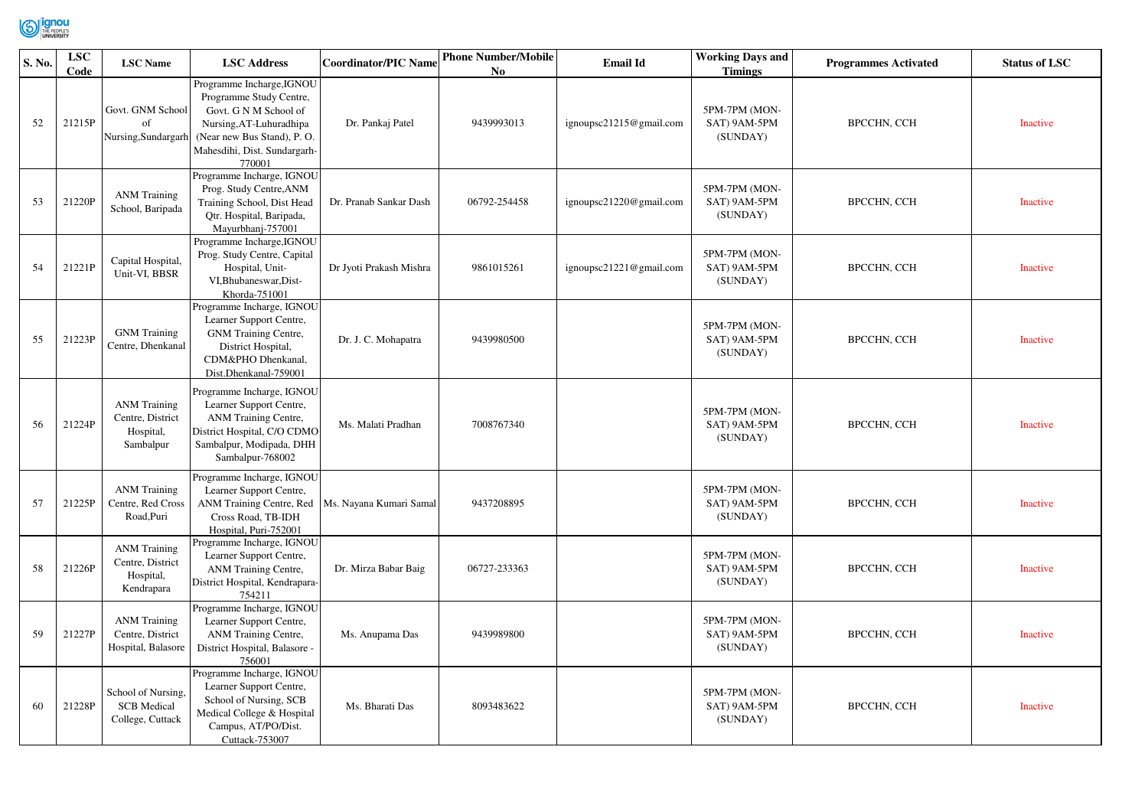

| S. No. | <b>LSC</b><br>Code | <b>LSC</b> Name                                                    | <b>LSC Address</b>                                                                                                                                                               | <b>Coordinator/PIC Name</b> | <b>Phone Number/Mobile</b><br>No | <b>Email Id</b>         | <b>Working Days and</b><br><b>Timings</b> | <b>Programmes Activated</b> | <b>Status of LSC</b> |
|--------|--------------------|--------------------------------------------------------------------|----------------------------------------------------------------------------------------------------------------------------------------------------------------------------------|-----------------------------|----------------------------------|-------------------------|-------------------------------------------|-----------------------------|----------------------|
| 52     | 21215P             | Govt. GNM School<br>of<br>Nursing, Sundargarh                      | Programme Incharge, IGNOU<br>Programme Study Centre,<br>Govt. G N M School of<br>Nursing, AT-Luhuradhipa<br>(Near new Bus Stand), P.O.<br>Mahesdihi, Dist. Sundargarh-<br>770001 | Dr. Pankaj Patel            | 9439993013                       | ignoupsc21215@gmail.com | 5PM-7PM (MON-<br>SAT) 9AM-5PM<br>(SUNDAY) | <b>BPCCHN, CCH</b>          | Inactive             |
| 53     | 21220P             | <b>ANM Training</b><br>School, Baripada                            | Programme Incharge, IGNOU<br>Prog. Study Centre, ANM<br>Training School, Dist Head<br>Qtr. Hospital, Baripada,<br>Mayurbhanj-757001                                              | Dr. Pranab Sankar Dash      | 06792-254458                     | ignoupsc21220@gmail.com | 5PM-7PM (MON-<br>SAT) 9AM-5PM<br>(SUNDAY) | <b>BPCCHN, CCH</b>          | Inactive             |
| 54     | 21221P             | Capital Hospital,<br>Unit-VI, BBSR                                 | Programme Incharge, IGNOU<br>Prog. Study Centre, Capital<br>Hospital, Unit-<br>VI, Bhubaneswar, Dist-<br>Khorda-751001                                                           | Dr Jyoti Prakash Mishra     | 9861015261                       | ignoupsc21221@gmail.com | 5PM-7PM (MON-<br>SAT) 9AM-5PM<br>(SUNDAY) | <b>BPCCHN, CCH</b>          | Inactive             |
| 55     | 21223P             | <b>GNM</b> Training<br>Centre, Dhenkanal                           | Programme Incharge, IGNOU<br>Learner Support Centre,<br>GNM Training Centre,<br>District Hospital,<br>CDM&PHO Dhenkanal,<br>Dist.Dhenkanal-759001                                | Dr. J. C. Mohapatra         | 9439980500                       |                         | 5PM-7PM (MON-<br>SAT) 9AM-5PM<br>(SUNDAY) | <b>BPCCHN, CCH</b>          | <b>Inactive</b>      |
| 56     | 21224P             | <b>ANM Training</b><br>Centre, District<br>Hospital,<br>Sambalpur  | Programme Incharge, IGNOU<br>Learner Support Centre,<br>ANM Training Centre,<br>District Hospital, C/O CDMO<br>Sambalpur, Modipada, DHH<br>Sambalpur-768002                      | Ms. Malati Pradhan          | 7008767340                       |                         | 5PM-7PM (MON-<br>SAT) 9AM-5PM<br>(SUNDAY) | BPCCHN, CCH                 | <b>Inactive</b>      |
| 57     | 21225P             | <b>ANM Training</b><br>Centre, Red Cross<br>Road, Puri             | Programme Incharge, IGNOU<br>Learner Support Centre,<br>ANM Training Centre, Red<br>Cross Road, TB-IDH<br>Hospital, Puri-752001                                                  | Ms. Nayana Kumari Samal     | 9437208895                       |                         | 5PM-7PM (MON-<br>SAT) 9AM-5PM<br>(SUNDAY) | <b>BPCCHN, CCH</b>          | <b>Inactive</b>      |
| 58     | 21226P             | <b>ANM Training</b><br>Centre, District<br>Hospital,<br>Kendrapara | Programme Incharge, IGNOU<br>Learner Support Centre,<br>ANM Training Centre,<br>District Hospital, Kendrapara-<br>754211                                                         | Dr. Mirza Babar Baig        | 06727-233363                     |                         | 5PM-7PM (MON-<br>SAT) 9AM-5PM<br>(SUNDAY) | <b>BPCCHN, CCH</b>          | <b>Inactive</b>      |
| 59     | 21227P             | <b>ANM Training</b><br>Centre, District<br>Hospital, Balasore      | Programme Incharge, IGNOU<br>Learner Support Centre,<br>ANM Training Centre,<br>District Hospital, Balasore -<br>756001                                                          | Ms. Anupama Das             | 9439989800                       |                         | 5PM-7PM (MON-<br>SAT) 9AM-5PM<br>(SUNDAY) | <b>BPCCHN, CCH</b>          | <b>Inactive</b>      |
| 60     | 21228P             | School of Nursing,<br><b>SCB</b> Medical<br>College, Cuttack       | Programme Incharge, IGNOU<br>Learner Support Centre,<br>School of Nursing, SCB<br>Medical College & Hospital<br>Campus, AT/PO/Dist.<br>Cuttack-753007                            | Ms. Bharati Das             | 8093483622                       |                         | 5PM-7PM (MON-<br>SAT) 9AM-5PM<br>(SUNDAY) | <b>BPCCHN, CCH</b>          | <b>Inactive</b>      |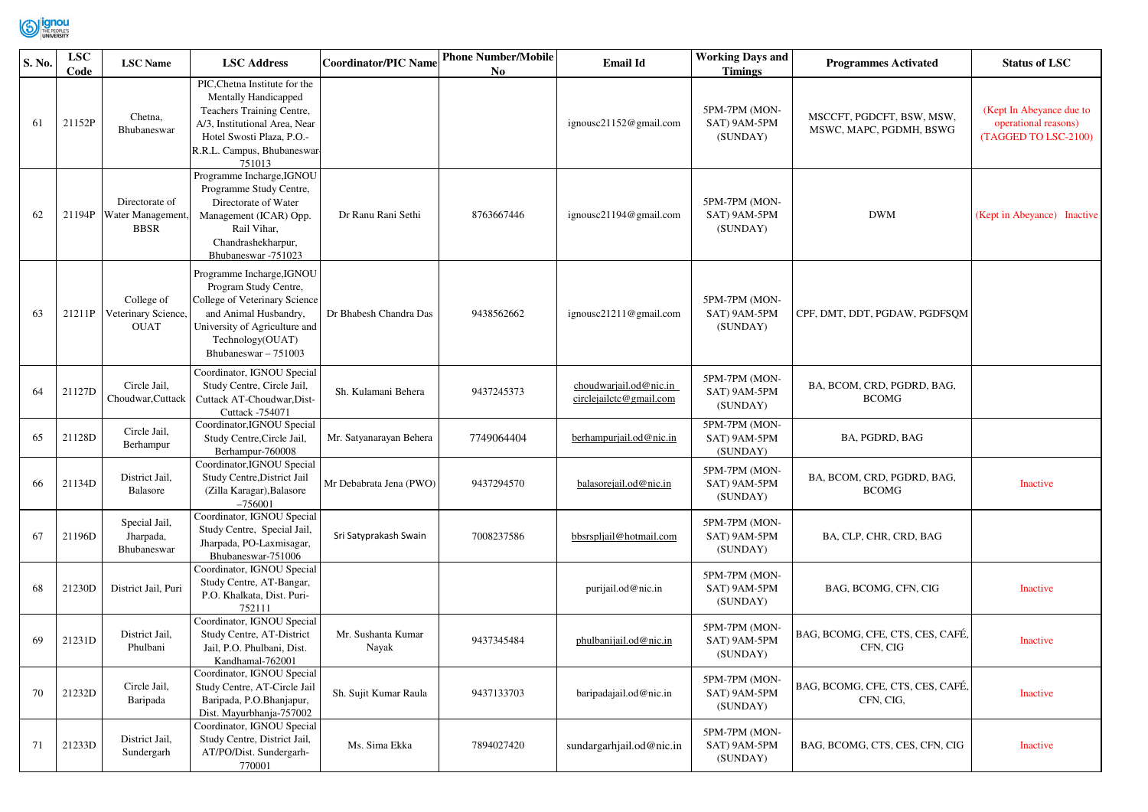

| S. No. | <b>LSC</b><br>Code | <b>LSC</b> Name                                           | <b>LSC Address</b>                                                                                                                                                                        | <b>Coordinator/PIC Name</b> | <b>Phone Number/Mobile</b><br>No. | <b>Email Id</b>                                   | <b>Working Days and</b><br><b>Timings</b> | <b>Programmes Activated</b>                          | <b>Status of LSC</b>                                                     |
|--------|--------------------|-----------------------------------------------------------|-------------------------------------------------------------------------------------------------------------------------------------------------------------------------------------------|-----------------------------|-----------------------------------|---------------------------------------------------|-------------------------------------------|------------------------------------------------------|--------------------------------------------------------------------------|
| 61     | 21152P             | Chetna,<br>Bhubaneswar                                    | PIC, Chetna Institute for the<br>Mentally Handicapped<br>Teachers Training Centre,<br>A/3, Institutional Area, Near<br>Hotel Swosti Plaza, P.O.-<br>R.R.L. Campus, Bhubaneswar-<br>751013 |                             |                                   | ignousc21152@gmail.com                            | 5PM-7PM (MON-<br>SAT) 9AM-5PM<br>(SUNDAY) | MSCCFT, PGDCFT, BSW, MSW,<br>MSWC, MAPC, PGDMH, BSWG | (Kept In Abeyance due to<br>operational reasons)<br>(TAGGED TO LSC-2100) |
| 62     |                    | Directorate of<br>21194P Water Management,<br><b>BBSR</b> | Programme Incharge, IGNOU<br>Programme Study Centre,<br>Directorate of Water<br>Management (ICAR) Opp.<br>Rail Vihar.<br>Chandrashekharpur,<br>Bhubaneswar -751023                        | Dr Ranu Rani Sethi          | 8763667446                        | ignousc21194@gmail.com                            | 5PM-7PM (MON-<br>SAT) 9AM-5PM<br>(SUNDAY) | <b>DWM</b>                                           | (Kept in Abeyance) Inactive                                              |
| 63     | 21211P             | College of<br>Veterinary Science,<br><b>OUAT</b>          | Programme Incharge, IGNOU<br>Program Study Centre,<br>College of Veterinary Science<br>and Animal Husbandry,<br>University of Agriculture and<br>Technology(OUAT)<br>Bhubaneswar - 751003 | Dr Bhabesh Chandra Das      | 9438562662                        | ignousc21211@gmail.com                            | 5PM-7PM (MON-<br>SAT) 9AM-5PM<br>(SUNDAY) | CPF, DMT, DDT, PGDAW, PGDFSQM                        |                                                                          |
| 64     | 21127D             | Circle Jail,<br>Choudwar, Cuttack                         | Coordinator, IGNOU Special<br>Study Centre, Circle Jail,<br>Cuttack AT-Choudwar, Dist-<br>Cuttack -754071                                                                                 | Sh. Kulamani Behera         | 9437245373                        | choudwarjail.od@nic.in<br>circlejailctc@gmail.com | 5PM-7PM (MON-<br>SAT) 9AM-5PM<br>(SUNDAY) | BA, BCOM, CRD, PGDRD, BAG,<br><b>BCOMG</b>           |                                                                          |
| 65     | 21128D             | Circle Jail,<br>Berhampur                                 | Coordinator, IGNOU Special<br>Study Centre, Circle Jail,<br>Berhampur-760008                                                                                                              | Mr. Satyanarayan Behera     | 7749064404                        | berhampurjail.od@nic.in                           | 5PM-7PM (MON-<br>SAT) 9AM-5PM<br>(SUNDAY) | BA, PGDRD, BAG                                       |                                                                          |
| 66     | 21134D             | District Jail,<br>Balasore                                | Coordinator, IGNOU Special<br>Study Centre, District Jail<br>(Zilla Karagar), Balasore<br>$-756001$                                                                                       | Mr Debabrata Jena (PWO)     | 9437294570                        | balasorejail.od@nic.in                            | 5PM-7PM (MON-<br>SAT) 9AM-5PM<br>(SUNDAY) | BA, BCOM, CRD, PGDRD, BAG,<br><b>BCOMG</b>           | Inactive                                                                 |
| 67     | 21196D             | Special Jail,<br>Jharpada,<br>Bhubaneswar                 | Coordinator, IGNOU Special<br>Study Centre, Special Jail,<br>Jharpada, PO-Laxmisagar,<br>Bhubaneswar-751006                                                                               | Sri Satyprakash Swain       | 7008237586                        | bbsrspljail@hotmail.com                           | 5PM-7PM (MON-<br>SAT) 9AM-5PM<br>(SUNDAY) | BA, CLP, CHR, CRD, BAG                               |                                                                          |
| 68     | 21230D             | District Jail, Puri                                       | Coordinator, IGNOU Special<br>Study Centre, AT-Bangar,<br>P.O. Khalkata, Dist. Puri-<br>752111                                                                                            |                             |                                   | purijail.od@nic.in                                | 5PM-7PM (MON-<br>SAT) 9AM-5PM<br>(SUNDAY) | BAG, BCOMG, CFN, CIG                                 | Inactive                                                                 |
| 69     | 21231D             | District Jail,<br>Phulbani                                | Coordinator, IGNOU Special<br>Study Centre, AT-District<br>Jail, P.O. Phulbani, Dist.<br>Kandhamal-762001                                                                                 | Mr. Sushanta Kumar<br>Nayak | 9437345484                        | phulbanijail.od@nic.in                            | 5PM-7PM (MON-<br>SAT) 9AM-5PM<br>(SUNDAY) | BAG, BCOMG, CFE, CTS, CES, CAFÉ,<br>CFN, CIG         | Inactive                                                                 |
| 70     | 21232D             | Circle Jail,<br>Baripada                                  | Coordinator, IGNOU Special<br>Study Centre, AT-Circle Jail<br>Baripada, P.O.Bhanjapur,<br>Dist. Mayurbhanja-757002                                                                        | Sh. Sujit Kumar Raula       | 9437133703                        | baripadajail.od@nic.in                            | 5PM-7PM (MON-<br>SAT) 9AM-5PM<br>(SUNDAY) | BAG, BCOMG, CFE, CTS, CES, CAFÉ,<br>CFN, CIG,        | Inactive                                                                 |
| 71     | 21233D             | District Jail,<br>Sundergarh                              | Coordinator, IGNOU Special<br>Study Centre, District Jail,<br>AT/PO/Dist. Sundergarh-<br>770001                                                                                           | Ms. Sima Ekka               | 7894027420                        | sundargarhjail.od@nic.in                          | 5PM-7PM (MON-<br>SAT) 9AM-5PM<br>(SUNDAY) | BAG, BCOMG, CTS, CES, CFN, CIG                       | Inactive                                                                 |